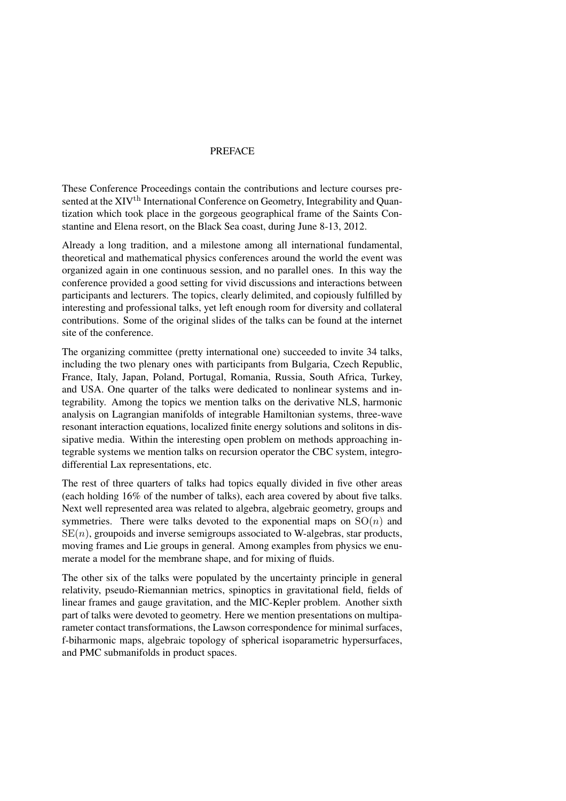## PREFACE

These Conference Proceedings contain the contributions and lecture courses presented at the XIV<sup>th</sup> International Conference on Geometry, Integrability and Quantization which took place in the gorgeous geographical frame of the Saints Constantine and Elena resort, on the Black Sea coast, during June 8-13, 2012.

Already a long tradition, and a milestone among all international fundamental, theoretical and mathematical physics conferences around the world the event was organized again in one continuous session, and no parallel ones. In this way the conference provided a good setting for vivid discussions and interactions between participants and lecturers. The topics, clearly delimited, and copiously fulfilled by interesting and professional talks, yet left enough room for diversity and collateral contributions. Some of the original slides of the talks can be found at the internet site of the conference.

The organizing committee (pretty international one) succeeded to invite 34 talks, including the two plenary ones with participants from Bulgaria, Czech Republic, France, Italy, Japan, Poland, Portugal, Romania, Russia, South Africa, Turkey, and USA. One quarter of the talks were dedicated to nonlinear systems and integrability. Among the topics we mention talks on the derivative NLS, harmonic analysis on Lagrangian manifolds of integrable Hamiltonian systems, three-wave resonant interaction equations, localized finite energy solutions and solitons in dissipative media. Within the interesting open problem on methods approaching integrable systems we mention talks on recursion operator the CBC system, integrodifferential Lax representations, etc.

The rest of three quarters of talks had topics equally divided in five other areas (each holding 16% of the number of talks), each area covered by about five talks. Next well represented area was related to algebra, algebraic geometry, groups and symmetries. There were talks devoted to the exponential maps on  $SO(n)$  and  $SE(n)$ , groupoids and inverse semigroups associated to W-algebras, star products, moving frames and Lie groups in general. Among examples from physics we enumerate a model for the membrane shape, and for mixing of fluids.

The other six of the talks were populated by the uncertainty principle in general relativity, pseudo-Riemannian metrics, spinoptics in gravitational field, fields of linear frames and gauge gravitation, and the MIC-Kepler problem. Another sixth part of talks were devoted to geometry. Here we mention presentations on multiparameter contact transformations, the Lawson correspondence for minimal surfaces, f-biharmonic maps, algebraic topology of spherical isoparametric hypersurfaces, and PMC submanifolds in product spaces.